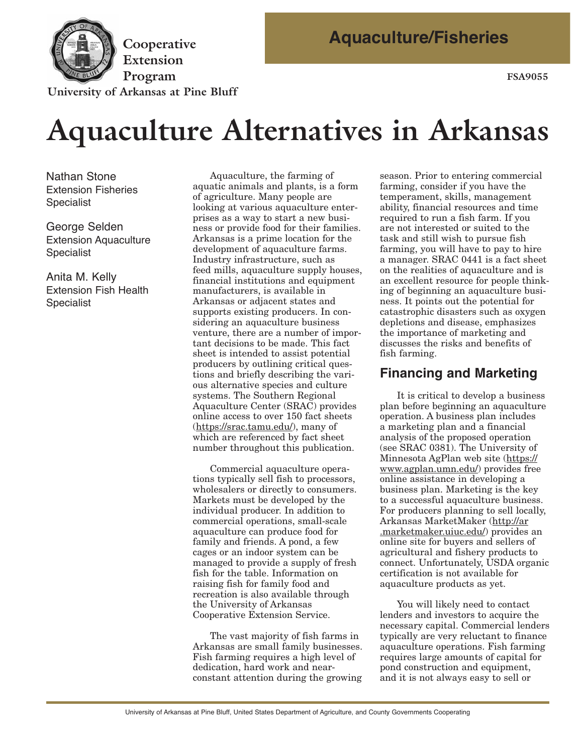

**Extension**  Program FSA9055

**University of Arkansas at Pine Bluff** 

# **Aquaculture Alternatives in Arkansas**

Nathan Stone Extension Fisheries Specialist

George Selden Extension Aquaculture Specialist

Anita M. Kelly Extension Fish Health Specialist

Aquaculture, the farming of aquatic animals and plants, is a form of agriculture. Many people are looking at various aquaculture enterprises as a way to start a new business or provide food for their families. Arkansas is a prime location for the development of aquaculture farms. Industry infrastructure, such as feed mills, aquaculture supply houses, financial institutions and equipment manufacturers, is available in Arkansas or adjacent states and supports existing producers. In considering an aquaculture business venture, there are a number of important decisions to be made. This fact sheet is intended to assist potential producers by outlining critical questions and briefly describing the various alternative species and culture systems. The Southern Regional Aquaculture Center (SRAC) provides online access to over 150 fact sheets (https://srac.tamu.edu/), many of which are referenced by fact sheet number throughout this publication.

Commercial aquaculture operations typically sell fish to processors, wholesalers or directly to consumers. Markets must be developed by the individual producer. In addition to commercial operations, small-scale aquaculture can produce food for family and friends. A pond, a few cages or an indoor system can be managed to provide a supply of fresh fish for the table. Information on raising fish for family food and recreation is also available through the University of Arkansas Cooperative Extension Service.

The vast majority of fish farms in Arkansas are small family businesses. Fish farming requires a high level of dedication, hard work and nearconstant attention during the growing

season. Prior to entering commercial farming, consider if you have the temperament, skills, management ability, financial resources and time required to run a fish farm. If you are not interested or suited to the task and still wish to pursue fish farming, you will have to pay to hire a manager. SRAC 0441 is a fact sheet on the realities of aquaculture and is an excellent resource for people thinking of beginning an aquaculture business. It points out the potential for catastrophic disasters such as oxygen depletions and disease, emphasizes the importance of marketing and discusses the risks and benefits of fish farming.

### **Financing and Marketing**

It is critical to develop a business plan before beginning an aquaculture operation. A business plan includes a marketing plan and a financial analysis of the proposed operation (see SRAC 0381). The University of Minnesota AgPlan web site (https:// www.agplan.umn.edu/) provides free online assistance in developing a business plan. Marketing is the key to a successful aquaculture business. For producers planning to sell locally, Arkansas MarketMaker (http://ar .marketmaker.uiuc.edu/) provides an online site for buyers and sellers of agricultural and fishery products to connect. Unfortunately, USDA organic certification is not available for aquaculture products as yet.

You will likely need to contact lenders and investors to acquire the necessary capital. Commercial lenders typically are very reluctant to finance aquaculture operations. Fish farming requires large amounts of capital for pond construction and equipment, and it is not always easy to sell or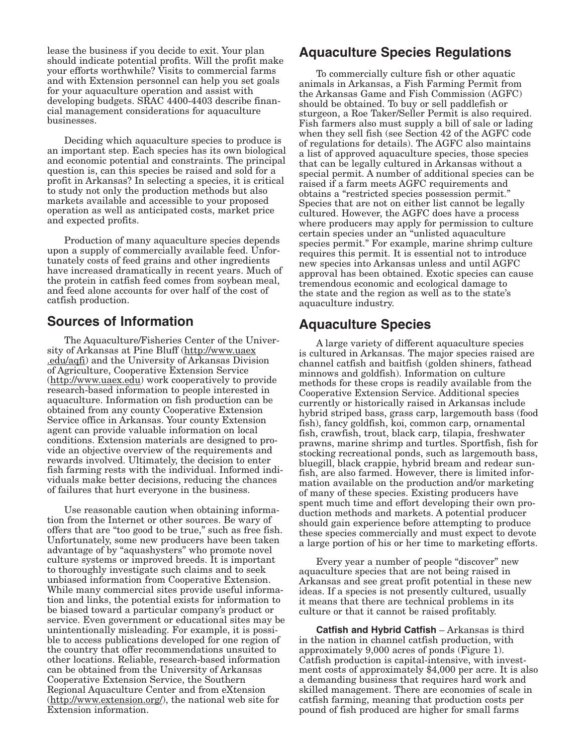lease the business if you decide to exit. Your plan should indicate potential profits. Will the profit make your efforts worthwhile? Visits to commercial farms and with Extension personnel can help you set goals for your aquaculture operation and assist with developing budgets. SRAC 4400-4403 describe financial management considerations for aquaculture businesses.

Deciding which aquaculture species to produce is an important step. Each species has its own biological and economic potential and constraints. The principal question is, can this species be raised and sold for a profit in Arkansas? In selecting a species, it is critical to study not only the production methods but also markets available and accessible to your proposed operation as well as anticipated costs, market price and expected profits.

Production of many aquaculture species depends upon a supply of commercially available feed. Unfor tunately costs of feed grains and other ingredients have increased dramatically in recent years. Much of the protein in catfish feed comes from soybean meal, and feed alone accounts for over half of the cost of catfish production.

#### **Sources of Information**

The Aquaculture/Fisheries Center of the Univer sity of Arkansas at Pine Bluff (http://www.uaex .edu/aqfi) and the University of Arkansas Division of Agriculture, Cooperative Extension Service (http://www.uaex.edu) work cooperatively to provide research-based information to people interested in aquaculture. Information on fish production can be obtained from any county Cooperative Extension Service office in Arkansas. Your county Extension agent can provide valuable information on local conditions. Extension materials are designed to provide an objective overview of the requirements and rewards involved. Ultimately, the decision to enter fish farming rests with the individual. Informed individuals make better decisions, reducing the chances of failures that hurt everyone in the business.

Use reasonable caution when obtaining information from the Internet or other sources. Be wary of offers that are "too good to be true," such as free fish. Unfortunately, some new producers have been taken advantage of by "aquashysters" who promote novel culture systems or improved breeds. It is important to thoroughly investigate such claims and to seek unbiased information from Cooperative Extension. While many commercial sites provide useful information and links, the potential exists for information to be biased toward a particular company's product or service. Even government or educational sites may be unintentionally misleading. For example, it is possible to access publications developed for one region of the country that offer recommendations unsuited to other locations. Reliable, research-based information can be obtained from the University of Arkansas Cooperative Extension Service, the Southern Regional Aquaculture Center and from eXtension (http://www.extension.org/), the national web site for Extension information.

#### **Aquaculture Species Regulations**

To commercially culture fish or other aquatic animals in Arkansas, a Fish Farming Permit from the Arkansas Game and Fish Commission (AGFC) should be obtained. To buy or sell paddlefish or sturgeon, a Roe Taker/Seller Permit is also required. Fish farmers also must supply a bill of sale or lading when they sell fish (see Section 42 of the AGFC code of regulations for details). The AGFC also maintains a list of approved aquaculture species, those species that can be legally cultured in Arkansas without a special permit. A number of additional species can be raised if a farm meets AGFC requirements and obtains a "restricted species possession permit." Species that are not on either list cannot be legally cultured. However, the AGFC does have a process where producers may apply for permission to culture certain species under an "unlisted aquaculture species permit." For example, marine shrimp culture requires this permit. It is essential not to introduce new species into Arkansas unless and until AGFC approval has been obtained. Exotic species can cause tremendous economic and ecological damage to the state and the region as well as to the state's aquaculture industry.

#### **Aquaculture Species**

A large variety of different aquaculture species is cultured in Arkansas. The major species raised are channel catfish and baitfish (golden shiners, fathead minnows and goldfish). Information on culture methods for these crops is readily available from the Cooperative Extension Service. Additional species currently or historically raised in Arkansas include hybrid striped bass, grass carp, largemouth bass (food fish), fancy goldfish, koi, common carp, ornamental fish, crawfish, trout, black carp, tilapia, freshwater prawns, marine shrimp and turtles. Sportfish, fish for stocking recreational ponds, such as largemouth bass, bluegill, black crappie, hybrid bream and redear sunfish, are also farmed. However, there is limited information available on the production and/or marketing of many of these species. Existing producers have spent much time and effort developing their own production methods and markets. A potential producer should gain experience before attempting to produce these species commercially and must expect to devote a large portion of his or her time to marketing efforts.

Every year a number of people "discover" new aquaculture species that are not being raised in Arkansas and see great profit potential in these new ideas. If a species is not presently cultured, usually it means that there are technical problems in its culture or that it cannot be raised profitably.

**Catfish and Hybrid Catfish** – Arkansas is third in the nation in channel catfish production, with approximately 9,000 acres of ponds (Figure 1). Catfish production is capital-intensive, with investment costs of approximately \$4,000 per acre. It is also a demanding business that requires hard work and skilled management. There are economies of scale in catfish farming, meaning that production costs per pound of fish produced are higher for small farms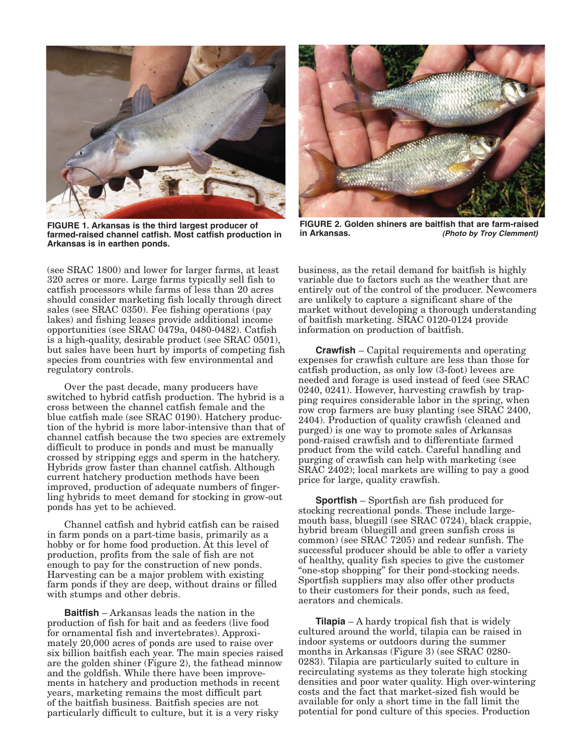

**FIGURE 1. Arkansas is the third largest producer of farmed-raised channel catfish. Most catfish production in Arkansas is in earthen ponds.** 

(see SRAC 1800) and lower for larger farms, at least 320 acres or more. Large farms typically sell fish to catfish processors while farms of less than 20 acres should consider marketing fish locally through direct sales (see SRAC 0350). Fee fishing operations (pay lakes) and fishing leases provide additional income opportunities (see SRAC 0479a, 0480-0482). Catfish is a high-quality, desirable product (see SRAC 0501), but sales have been hurt by imports of competing fish species from countries with few environmental and regulatory controls.

Over the past decade, many producers have switched to hybrid catfish production. The hybrid is a cross between the channel catfish female and the blue catfish male (see SRAC 0190). Hatchery production of the hybrid is more labor-intensive than that of channel catfish because the two species are extremely difficult to produce in ponds and must be manually crossed by stripping eggs and sperm in the hatchery. Hybrids grow faster than channel catfish. Although current hatchery production methods have been improved, production of adequate numbers of fingerling hybrids to meet demand for stocking in grow-out ponds has yet to be achieved.

Channel catfish and hybrid catfish can be raised in farm ponds on a part-time basis, primarily as a hobby or for home food production. At this level of production, profits from the sale of fish are not enough to pay for the construction of new ponds. Harvesting can be a major problem with existing farm ponds if they are deep, without drains or filled with stumps and other debris.

**Baitfish** – Arkansas leads the nation in the production of fish for bait and as feeders (live food for ornamental fish and invertebrates). Approxi mately 20,000 acres of ponds are used to raise over six billion baitfish each year. The main species raised are the golden shiner (Figure 2), the fathead minnow and the goldfish. While there have been improvements in hatchery and production methods in recent years, marketing remains the most difficult part of the baitfish business. Baitfish species are not particularly difficult to culture, but it is a very risky



**FIGURE 2. Golden shiners are baitfish that are farm-raised in Arkansas. (Photo by Troy Clemment)** 

business, as the retail demand for baitfish is highly variable due to factors such as the weather that are entirely out of the control of the producer. Newcomers are unlikely to capture a significant share of the market without developing a thorough understanding of baitfish marketing. SRAC 0120-0124 provide information on production of baitfish.

**Crawfish** – Capital requirements and operating expenses for crawfish culture are less than those for catfish production, as only low (3-foot) levees are needed and forage is used instead of feed (see SRAC 0240, 0241). However, harvesting crawfish by trapping requires considerable labor in the spring, when row crop farmers are busy planting (see SRAC 2400, 2404). Production of quality crawfish (cleaned and purged) is one way to promote sales of Arkansas pond-raised crawfish and to differentiate farmed product from the wild catch. Careful handling and purging of crawfish can help with marketing (see SRAC 2402); local markets are willing to pay a good price for large, quality crawfish.

**Sportfish** – Sportfish are fish produced for stocking recreational ponds. These include largemouth bass, bluegill (see SRAC 0724), black crappie, hybrid bream (bluegill and green sunfish cross is common) (see SRAC 7205) and redear sunfish. The successful producer should be able to offer a variety of healthy, quality fish species to give the customer "one-stop shopping" for their pond-stocking needs. Sportfish suppliers may also offer other products to their customers for their ponds, such as feed, aerators and chemicals.

**Tilapia** – A hardy tropical fish that is widely cultured around the world, tilapia can be raised in indoor systems or outdoors during the summer months in Arkansas (Figure 3) (see SRAC 0280 0283). Tilapia are particularly suited to culture in recirculating systems as they tolerate high stocking densities and poor water quality. High over-wintering costs and the fact that market-sized fish would be available for only a short time in the fall limit the potential for pond culture of this species. Production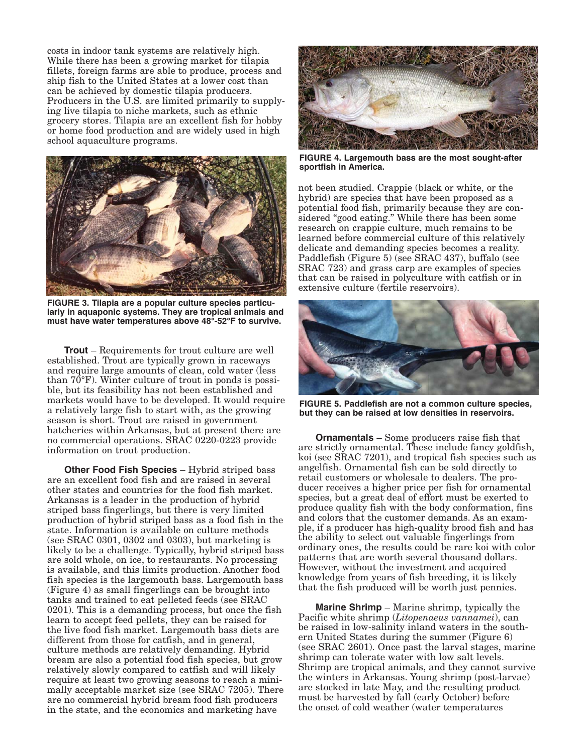costs in indoor tank systems are relatively high. While there has been a growing market for tilapia fillets, foreign farms are able to produce, process and ship fish to the United States at a lower cost than can be achieved by domestic tilapia producers. Producers in the U.S. are limited primarily to supplying live tilapia to niche markets, such as ethnic grocery stores. Tilapia are an excellent fish for hobby or home food production and are widely used in high school aquaculture programs.



**FIGURE 3. Tilapia are a popular culture species particularly in aquaponic systems. They are tropical animals and must have water temperatures above 48°-52°F to survive.** 

**Trout** – Requirements for trout culture are well established. Trout are typically grown in raceways and require large amounts of clean, cold water (less than 70°F). Winter culture of trout in ponds is possible, but its feasibility has not been established and markets would have to be developed. It would require a relatively large fish to start with, as the growing season is short. Trout are raised in government hatcheries within Arkansas, but at present there are no commercial operations. SRAC 0220-0223 provide information on trout production.

**Other Food Fish Species** – Hybrid striped bass are an excellent food fish and are raised in several other states and countries for the food fish market. Arkansas is a leader in the production of hybrid striped bass fingerlings, but there is very limited production of hybrid striped bass as a food fish in the state. Information is available on culture methods (see SRAC 0301, 0302 and 0303), but marketing is likely to be a challenge. Typically, hybrid striped bass are sold whole, on ice, to restaurants. No processing is available, and this limits production. Another food fish species is the largemouth bass. Largemouth bass (Figure 4) as small fingerlings can be brought into tanks and trained to eat pelleted feeds (see SRAC 0201). This is a demanding process, but once the fish learn to accept feed pellets, they can be raised for the live food fish market. Largemouth bass diets are different from those for catfish, and in general, culture methods are relatively demanding. Hybrid bream are also a potential food fish species, but grow relatively slowly compared to catfish and will likely require at least two growing seasons to reach a minimally acceptable market size (see SRAC 7205). There are no commercial hybrid bream food fish producers in the state, and the economics and marketing have



**FIGURE 4. Largemouth bass are the most sought-after sportfish in America.** 

not been studied. Crappie (black or white, or the hybrid) are species that have been proposed as a potential food fish, primarily because they are con sidered "good eating." While there has been some research on crappie culture, much remains to be learned before commercial culture of this relatively delicate and demanding species becomes a reality. Paddlefish (Figure 5) (see SRAC 437), buffalo (see SRAC 723) and grass carp are examples of species that can be raised in polyculture with catfish or in extensive culture (fertile reservoirs).



**FIGURE 5. Paddlefish are not a common culture species, but they can be raised at low densities in reservoirs.** 

**Ornamentals** – Some producers raise fish that are strictly ornamental. These include fancy goldfish, koi (see SRAC 7201), and tropical fish species such as angelfish. Ornamental fish can be sold directly to retail customers or wholesale to dealers. The producer receives a higher price per fish for ornamental species, but a great deal of effort must be exerted to produce quality fish with the body conformation, fins and colors that the customer demands. As an example, if a producer has high-quality brood fish and has the ability to select out valuable fingerlings from ordinary ones, the results could be rare koi with color patterns that are worth several thousand dollars. However, without the investment and acquired knowledge from years of fish breeding, it is likely that the fish produced will be worth just pennies.

**Marine Shrimp** – Marine shrimp, typically the Pacific white shrimp (*Litopenaeus vannamei*), can be raised in low-salinity inland waters in the southern United States during the summer (Figure 6) (see SRAC 2601). Once past the larval stages, marine shrimp can tolerate water with low salt levels. Shrimp are tropical animals, and they cannot survive the winters in Arkansas. Young shrimp (post-larvae) are stocked in late May, and the resulting product must be harvested by fall (early October) before the onset of cold weather (water temperatures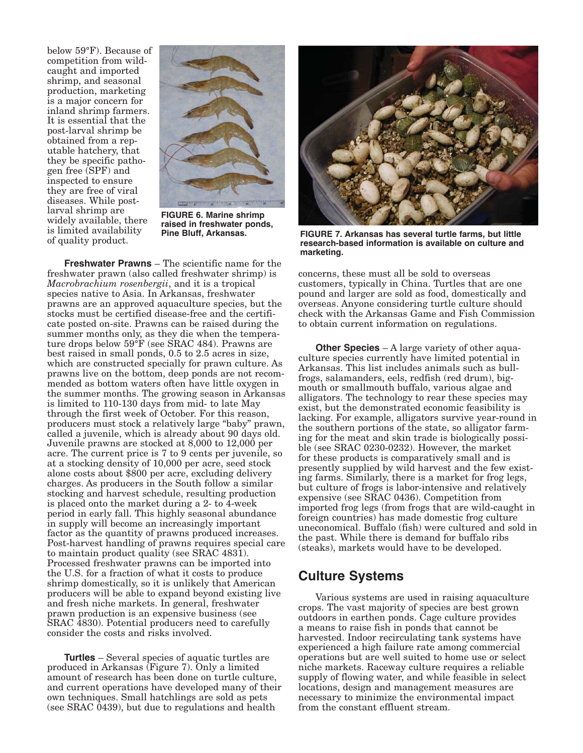below 59°F). Because of competition from wildcaught and imported shrimp, and seasonal production, marketing is a major concern for inland shrimp farmers. It is essential that the post-larval shrimp be obtained from a reputable hatchery, that they be specific patho gen free (SPF) and inspected to ensure they are free of viral diseases. While postlarval shrimp are **FIGURE 6. Marine shrimp** widely available, there **raised in freshwater ponds**, **pine Bluff, Arkansas. of quality product.** 



**Freshwater Prawns** – The scientific name for the freshwater prawn (also called freshwater shrimp) is *Macrobrachium rosenbergii*, and it is a tropical species native to Asia. In Arkansas, freshwater prawns are an approved aquaculture species, but the stocks must be certified disease-free and the certificate posted on-site. Prawns can be raised during the summer months only, as they die when the temperature drops below 59°F (see SRAC 484). Prawns are best raised in small ponds, 0.5 to 2.5 acres in size, which are constructed specially for prawn culture. As prawns live on the bottom, deep ponds are not recommended as bottom waters often have little oxygen in the summer months. The growing season in Arkansas is limited to 110-130 days from mid- to late May through the first week of October. For this reason, producers must stock a relatively large "baby" prawn, called a juvenile, which is already about 90 days old. Juvenile prawns are stocked at 8,000 to 12,000 per acre. The current price is 7 to 9 cents per juvenile, so at a stocking density of 10,000 per acre, seed stock alone costs about \$800 per acre, excluding delivery charges. As producers in the South follow a similar stocking and harvest schedule, resulting production is placed onto the market during a 2- to 4-week period in early fall. This highly seasonal abundance in supply will become an increasingly important factor as the quantity of prawns produced increases. Post-harvest handling of prawns requires special care to maintain product quality (see SRAC 4831). Processed freshwater prawns can be imported into the U.S. for a fraction of what it costs to produce shrimp domestically, so it is unlikely that American producers will be able to expand beyond existing live and fresh niche markets. In general, freshwater prawn production is an expensive business (see SRAC 4830). Potential producers need to carefully consider the costs and risks involved.

**Turtles** – Several species of aquatic turtles are produced in Arkansas (Figure 7). Only a limited amount of research has been done on turtle culture, and current operations have developed many of their own techniques. Small hatchlings are sold as pets (see SRAC 0439), but due to regulations and health



**FIGURE 7. Arkansas has several turtle farms, but little research-based information is available on culture and marketing.** 

concerns, these must all be sold to overseas customers, typically in China. Turtles that are one pound and larger are sold as food, domestically and overseas. Anyone considering turtle culture should check with the Arkansas Game and Fish Commission to obtain current information on regulations.

**Other Species** – A large variety of other aquaculture species currently have limited potential in Arkansas. This list includes animals such as bullfrogs, salamanders, eels, redfish (red drum), bigmouth or smallmouth buffalo, various algae and alligators. The technology to rear these species may exist, but the demonstrated economic feasibility is lacking. For example, alligators survive year-round in the southern portions of the state, so alligator farming for the meat and skin trade is biologically possible (see SRAC 0230-0232). However, the market for these products is comparatively small and is presently supplied by wild harvest and the few existing farms. Similarly, there is a market for frog legs, but culture of frogs is labor-intensive and relatively expensive (see SRAC 0436). Competition from imported frog legs (from frogs that are wild-caught in foreign countries) has made domestic frog culture uneconomical. Buffalo (fish) were cultured and sold in the past. While there is demand for buffalo ribs (steaks), markets would have to be developed.

#### **Culture Systems**

Various systems are used in raising aquaculture crops. The vast majority of species are best grown outdoors in earthen ponds. Cage culture provides a means to raise fish in ponds that cannot be harvested. Indoor recirculating tank systems have experienced a high failure rate among commercial operations but are well suited to home use or select niche markets. Raceway culture requires a reliable supply of flowing water, and while feasible in select locations, design and management measures are necessary to minimize the environmental impact from the constant effluent stream.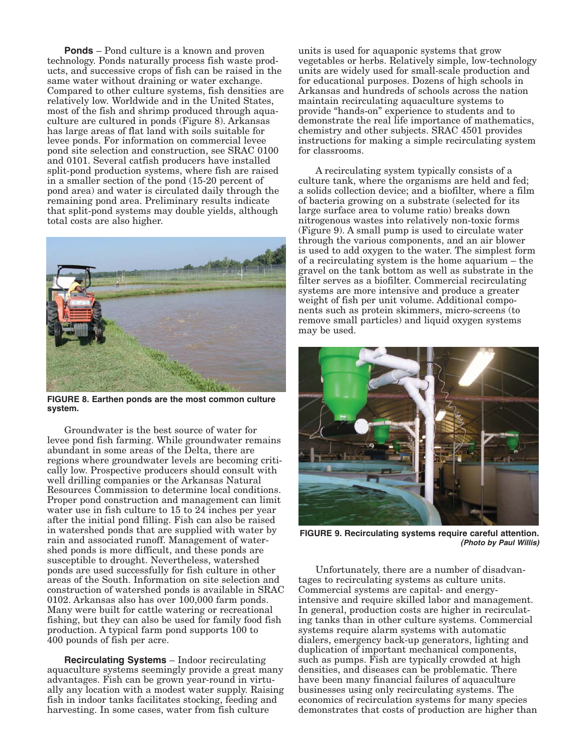**Ponds** – Pond culture is a known and proven technology. Ponds naturally process fish waste products, and successive crops of fish can be raised in the same water without draining or water exchange. Compared to other culture systems, fish densities are relatively low. Worldwide and in the United States, most of the fish and shrimp produced through aquaculture are cultured in ponds (Figure 8). Arkansas has large areas of flat land with soils suitable for levee ponds. For information on commercial levee pond site selection and construction, see SRAC 0100 and 0101. Several catfish producers have installed split-pond production systems, where fish are raised in a smaller section of the pond (15-20 percent of pond area) and water is circulated daily through the remaining pond area. Preliminary results indicate that split-pond systems may double yields, although total costs are also higher.



**FIGURE 8. Earthen ponds are the most common culture system.** 

Groundwater is the best source of water for levee pond fish farming. While groundwater remains abundant in some areas of the Delta, there are regions where groundwater levels are becoming critically low. Prospective producers should consult with well drilling companies or the Arkansas Natural Resources Commission to determine local conditions. Proper pond construction and management can limit water use in fish culture to 15 to 24 inches per year after the initial pond filling. Fish can also be raised in watershed ponds that are supplied with water by rain and associated runoff. Management of watershed ponds is more difficult, and these ponds are susceptible to drought. Nevertheless, watershed ponds are used successfully for fish culture in other areas of the South. Information on site selection and construction of watershed ponds is available in SRAC 0102. Arkansas also has over 100,000 farm ponds. Many were built for cattle watering or recreational fishing, but they can also be used for family food fish production. A typical farm pond supports 100 to 400 pounds of fish per acre.

**Recirculating Systems** – Indoor recirculating aquaculture systems seemingly provide a great many advantages. Fish can be grown year-round in virtually any location with a modest water supply. Raising fish in indoor tanks facilitates stocking, feeding and harvesting. In some cases, water from fish culture

units is used for aquaponic systems that grow vegetables or herbs. Relatively simple, low-technology units are widely used for small-scale production and for educational purposes. Dozens of high schools in Arkansas and hundreds of schools across the nation maintain recirculating aquaculture systems to provide "hands-on" experience to students and to demonstrate the real life importance of mathematics, chemistry and other subjects. SRAC 4501 provides instructions for making a simple recirculating system for classrooms.

A recirculating system typically consists of a culture tank, where the organisms are held and fed; a solids collection device; and a biofilter, where a film of bacteria growing on a substrate (selected for its large surface area to volume ratio) breaks down nitrogenous wastes into relatively non-toxic forms (Figure 9). A small pump is used to circulate water through the various components, and an air blower is used to add oxygen to the water. The simplest form of a recirculating system is the home aquarium – the gravel on the tank bottom as well as substrate in the filter serves as a biofilter. Commercial recirculating systems are more intensive and produce a greater weight of fish per unit volume. Additional components such as protein skimmers, micro-screens (to remove small particles) and liquid oxygen systems may be used.



**FIGURE 9. Recirculating systems require careful attention. (Photo by Paul Willis)** 

Unfortunately, there are a number of disadvantages to recirculating systems as culture units. Commercial systems are capital- and energyintensive and require skilled labor and management. In general, production costs are higher in recirculating tanks than in other culture systems. Commercial systems require alarm systems with automatic dialers, emergency back-up generators, lighting and duplication of important mechanical components, such as pumps. Fish are typically crowded at high densities, and diseases can be problematic. There have been many financial failures of aquaculture businesses using only recirculating systems. The economics of recirculation systems for many species demonstrates that costs of production are higher than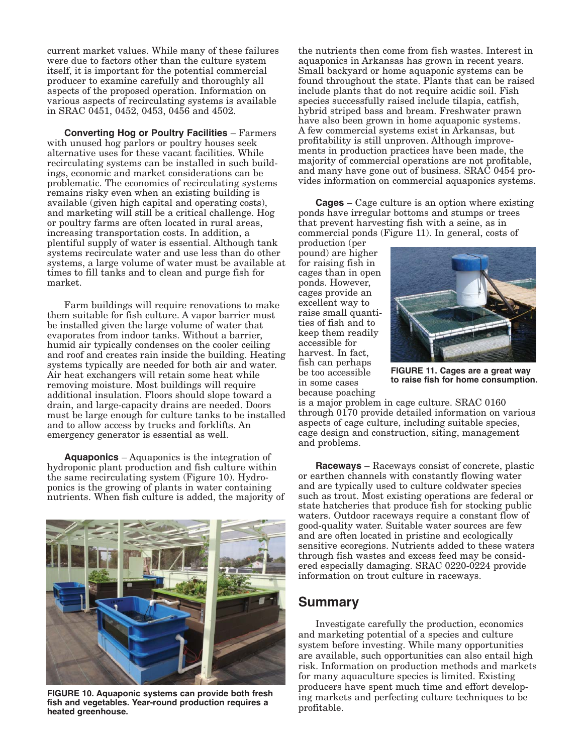current market values. While many of these failures were due to factors other than the culture system itself, it is important for the potential commercial producer to examine carefully and thoroughly all aspects of the proposed operation. Information on various aspects of recirculating systems is available in SRAC 0451, 0452, 0453, 0456 and 4502.

**Converting Hog or Poultry Facilities** – Farmers with unused hog parlors or poultry houses seek alternative uses for these vacant facilities. While recirculating systems can be installed in such buildings, economic and market considerations can be problematic. The economics of recirculating systems remains risky even when an existing building is available (given high capital and operating costs), and marketing will still be a critical challenge. Hog or poultry farms are often located in rural areas, increasing transportation costs. In addition, a plentiful supply of water is essential. Although tank systems recirculate water and use less than do other systems, a large volume of water must be available at times to fill tanks and to clean and purge fish for market.

Farm buildings will require renovations to make them suitable for fish culture. A vapor barrier must be installed given the large volume of water that evaporates from indoor tanks. Without a barrier, humid air typically condenses on the cooler ceiling and roof and creates rain inside the building. Heating systems typically are needed for both air and water. Air heat exchangers will retain some heat while removing moisture. Most buildings will require additional insulation. Floors should slope toward a drain, and large-capacity drains are needed. Doors must be large enough for culture tanks to be installed and to allow access by trucks and forklifts. An emergency generator is essential as well.

**Aquaponics** – Aquaponics is the integration of hydroponic plant production and fish culture within the same recirculating system (Figure 10). Hydro ponics is the growing of plants in water containing nutrients. When fish culture is added, the majority of



**FIGURE 10. Aquaponic systems can provide both fresh fish and vegetables. Year-round production requires a heated greenhouse.** 

the nutrients then come from fish wastes. Interest in aquaponics in Arkansas has grown in recent years. Small backyard or home aquaponic systems can be found throughout the state. Plants that can be raised include plants that do not require acidic soil. Fish species successfully raised include tilapia, catfish, hybrid striped bass and bream. Freshwater prawn have also been grown in home aquaponic systems. A few commercial systems exist in Arkansas, but profitability is still unproven. Although improvements in production practices have been made, the majority of commercial operations are not profitable, and many have gone out of business. SRAC 0454 provides information on commercial aquaponics systems.

**Cages** – Cage culture is an option where existing ponds have irregular bottoms and stumps or trees that prevent harvesting fish with a seine, as in commercial ponds (Figure 11). In general, costs of

production (per pound) are higher for raising fish in cages than in open ponds. However, cages provide an excellent way to raise small quantities of fish and to keep them readily accessible for harvest. In fact, fish can perhaps be too accessible in some cases because poaching



**FIGURE 11. Cages are a great way to raise fish for home consumption.** 

is a major problem in cage culture. SRAC 0160 through 0170 provide detailed information on various aspects of cage culture, including suitable species, cage design and construction, siting, management and problems.

**Raceways** – Raceways consist of concrete, plastic or earthen channels with constantly flowing water and are typically used to culture coldwater species such as trout. Most existing operations are federal or state hatcheries that produce fish for stocking public waters. Outdoor raceways require a constant flow of good-quality water. Suitable water sources are few and are often located in pristine and ecologically sensitive ecoregions. Nutrients added to these waters through fish wastes and excess feed may be considered especially damaging. SRAC 0220-0224 provide information on trout culture in raceways.

#### **Summary**

Investigate carefully the production, economics and marketing potential of a species and culture system before investing. While many opportunities are available, such opportunities can also entail high risk. Information on production methods and markets for many aquaculture species is limited. Existing producers have spent much time and effort developing markets and perfecting culture techniques to be profitable.